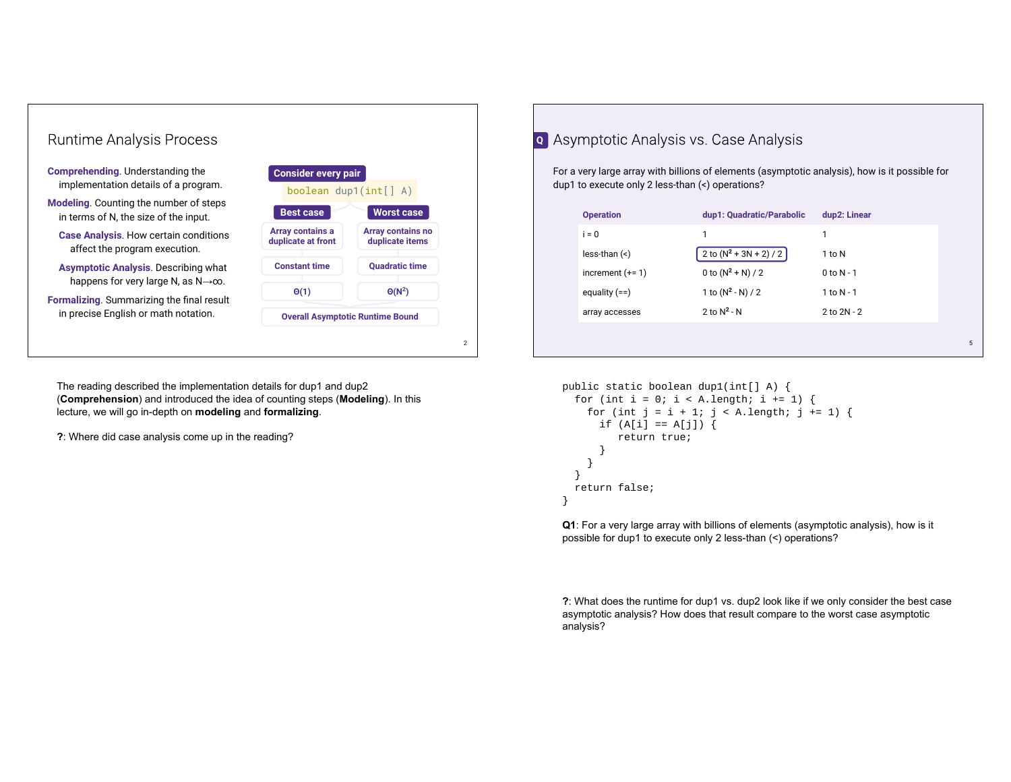

The reading described the implementation details for dup1 and dup2 (**Comprehension**) and introduced the idea of counting steps (**Modeling**). In this lecture, we will go in-depth on **modeling** and **formalizing**.

**?**: Where did case analysis come up in the reading?

## **Q** Asymptotic Analysis vs. Case Analysis

For a very large array with billions of elements (asymptotic analysis), how is it possible for dup1 to execute only 2 less-than (<) operations?

| <b>Operation</b>     | dup1: Quadratic/Parabolic | dup2: Linear    |   |
|----------------------|---------------------------|-----------------|---|
| $i = 0$              | 1                         | 1               |   |
| $less$ -than $(\le)$ | 2 to $(N^2 + 3N + 2) / 2$ | 1 to N          |   |
| increment $(+=1)$    | 0 to $(N^2 + N)/2$        | $0$ to $N - 1$  |   |
| equality $(==)$      | 1 to $(N^2 - N) / 2$      | 1 to $N - 1$    |   |
| array accesses       | 2 to $N^2$ - N            | $2$ to $2N - 2$ |   |
|                      |                           |                 |   |
|                      |                           |                 | 5 |

```
public static boolean dup1(int[] A) {
 for (int i = 0; i < A. length; i += 1) {
    for (int j = i + 1; j < A. length; j == 1) {
      if (A[i] == A[j]) {
          return true;
       }
     }
  }
  return false;
}
```
**Q1**: For a very large array with billions of elements (asymptotic analysis), how is it possible for dup1 to execute only 2 less-than (<) operations?

**?**: What does the runtime for dup1 vs. dup2 look like if we only consider the best case asymptotic analysis? How does that result compare to the worst case asymptotic analysis?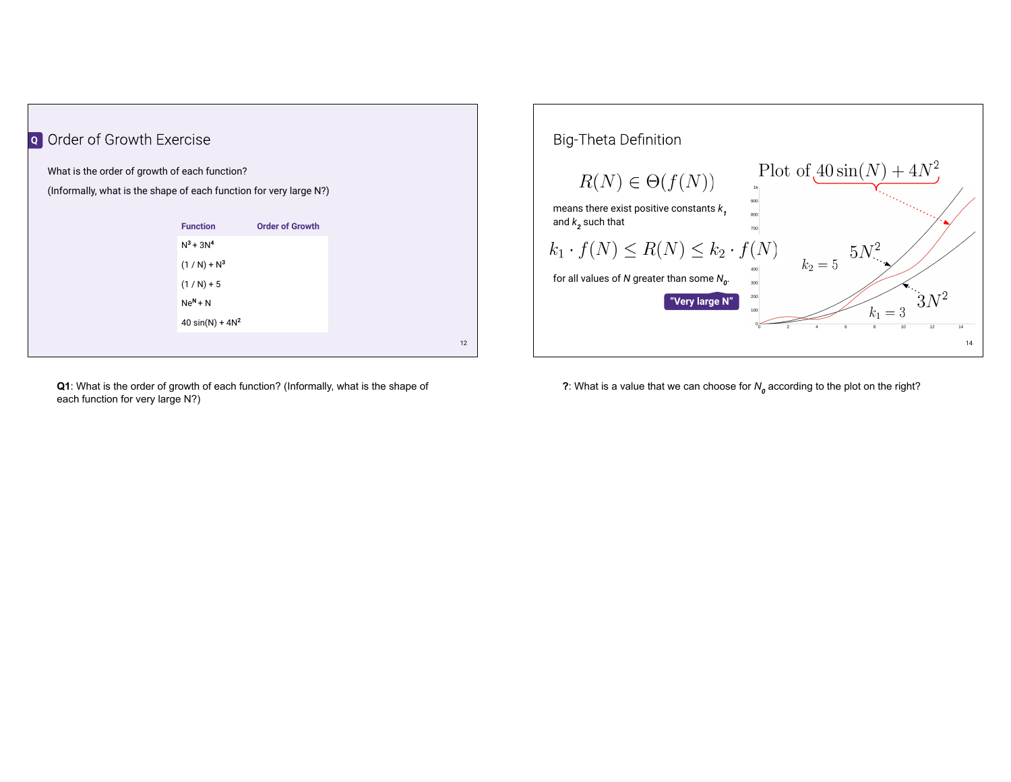

**Q1**: What is the order of growth of each function? (Informally, what is the shape of each function for very large N?)



**?**: What is a value that we can choose for *N<sup>0</sup>* according to the plot on the right?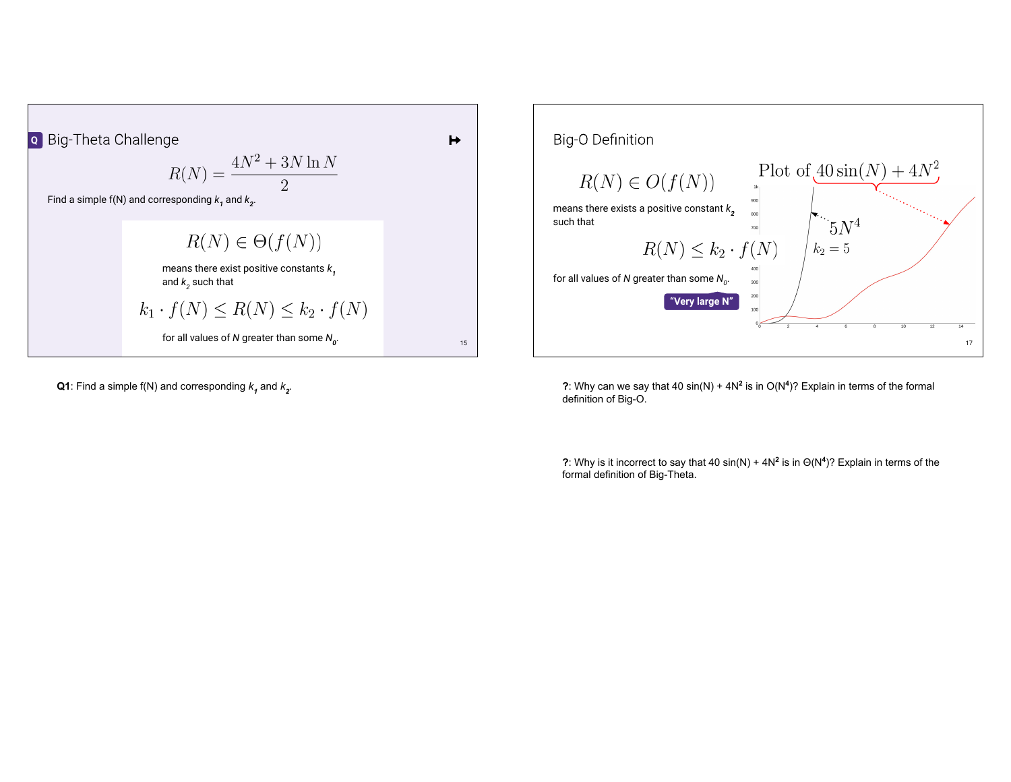



**Q1**: Find a simple f(N) and corresponding  $k<sub>1</sub>$  and  $k<sub>2</sub>$ .

**?**: Why can we say that 40  $sin(N) + 4N^2$  is in  $O(N^4)$ ? Explain in terms of the formal definition of Big-O.

**?**: Why is it incorrect to say that 40 sin(N) + 4N**<sup>2</sup>** is in Θ(N**<sup>4</sup>** )? Explain in terms of the formal definition of Big-Theta.